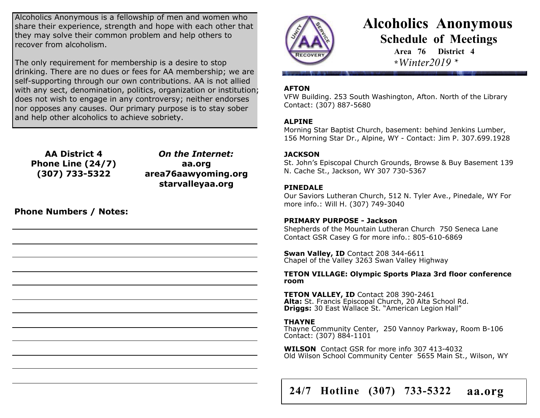Alcoholics Anonymous is a fellowship of men and women who share their experience, strength and hope with each other that they may solve their common problem and help others to recover from alcoholism.

The only requirement for membership is a desire to stop drinking. There are no dues or fees for AA membership; we are self-supporting through our own contributions. AA is not allied with any sect, denomination, politics, organization or institution; does not wish to engage in any controversy; neither endorses nor opposes any causes. Our primary purpose is to stay sober and help other alcoholics to achieve sobriety.

**AA District 4 Phone Line (24/7) (307) 733-5322**

*On the Internet:* **aa.org area76aawyoming.org starvalleyaa.org**

**Phone Numbers / Notes:**



# **Alcoholics Anonymous Schedule of Meetings**

**Area 76 District 4 \****Winter2019 \**

#### **AFTON**

VFW Building. 253 South Washington, Afton. North of the Library Contact: (307) 887-5680

#### **ALPINE**

Morning Star Baptist Church, basement: behind Jenkins Lumber, 156 Morning Star Dr., Alpine, WY - Contact: Jim P. 307.699.1928

#### **JACKSON**

St. John's Episcopal Church Grounds, Browse & Buy Basement 139 N. Cache St., Jackson, WY 307 730-5367

#### **PINEDALE**

Our Saviors Lutheran Church, 512 N. Tyler Ave., Pinedale, WY For more info.: Will H. (307) 749-3040

#### **PRIMARY PURPOSE - Jackson**

Shepherds of the Mountain Lutheran Church 750 Seneca Lane Contact GSR Casey G for more info.: 805-610-6869

**Swan Valley, ID** Contact 208 344-6611 Chapel of the Valley 3263 Swan Valley Highway

**TETON VILLAGE: Olympic Sports Plaza 3rd floor conference room**

**TETON VALLEY, ID Contact 208 390-2461 Alta:** St. Francis Episcopal Church, 20 Alta School Rd. **Driggs:** 30 East Wallace St. "American Legion Hall"

#### **THAYNE**

Thayne Community Center, 250 Vannoy Parkway, Room B-106 Contact: (307) 884-1101

**WILSON** Contact GSR for more info 307 413-4032 Old Wilson School Community Center 5655 Main St., Wilson, WY

**24/7 Hotline (307) 733-5322 aa.org**